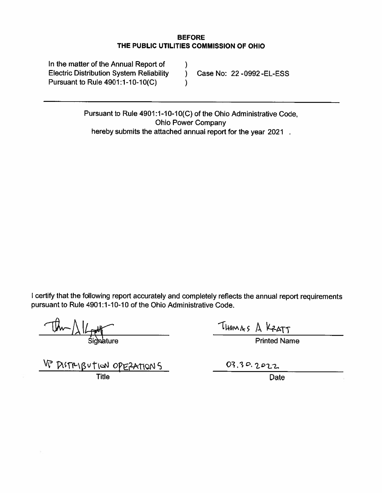#### **BEFORE** THE PUBLIC UTILITIES COMMISSION OF OHIO

| In the matter of the Annual Report of           |                             |
|-------------------------------------------------|-----------------------------|
| <b>Electric Distribution System Reliability</b> | Case No: 22 - 0992 - EL-ESS |
| Pursuant to Rule 4901:1-10-10(C)                |                             |

Pursuant to Rule 4901:1-10-10(C) of the Ohio Administrative Code, **Ohio Power Company** hereby submits the attached annual report for the year 2021.

I certify that the following report accurately and completely reflects the annual report requirements pursuant to Rule 4901:1-10-10 of the Ohio Administrative Code.

VP PISTRIBUTION OPERATIONS

THOMAS A KRATT

**Printed Name** 

03.30.2022<br>Date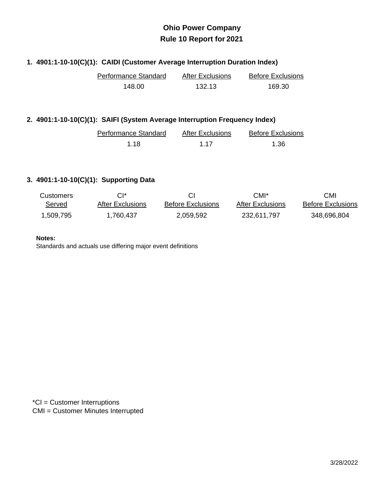#### **1. 4901:1-10-10(C)(1): CAIDI (Customer Average Interruption Duration Index)**

| Performance Standard | After Exclusions | <b>Before Exclusions</b> |
|----------------------|------------------|--------------------------|
| 148.00               | 132.13           | 169.30                   |

#### **2. 4901:1-10-10(C)(1): SAIFI (System Average Interruption Frequency Index)**

| Performance Standard | <b>After Exclusions</b> | <b>Before Exclusions</b> |
|----------------------|-------------------------|--------------------------|
| 1 18                 | 1 1 7                   | 1.36                     |

#### **3. 4901:1-10-10(C)(1): Supporting Data**

| <b>Customers</b> | CI*              |                          | CMI*             | CMI                      |
|------------------|------------------|--------------------------|------------------|--------------------------|
| Served           | After Exclusions | <b>Before Exclusions</b> | After Exclusions | <b>Before Exclusions</b> |
| 1,509,795        | 1.760.437        | 2,059,592                | 232,611,797      | 348,696,804              |

#### **Notes:**

Standards and actuals use differing major event definitions

\*CI = Customer Interruptions CMI = Customer Minutes Interrupted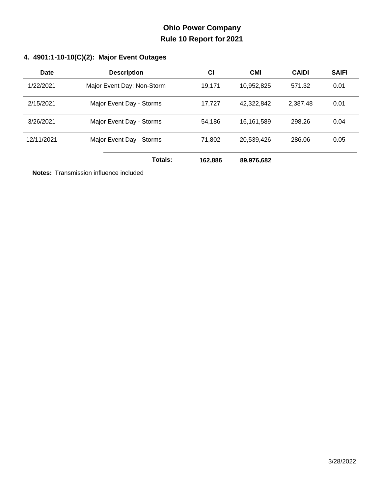### **4. 4901:1-10-10(C)(2): Major Event Outages**

| Date       | <b>Description</b>         | <b>CI</b> | <b>CMI</b> | <b>CAIDI</b> | <b>SAIFI</b> |
|------------|----------------------------|-----------|------------|--------------|--------------|
| 1/22/2021  | Major Event Day: Non-Storm | 19.171    | 10,952,825 | 571.32       | 0.01         |
| 2/15/2021  | Major Event Day - Storms   | 17.727    | 42,322,842 | 2,387.48     | 0.01         |
| 3/26/2021  | Major Event Day - Storms   | 54,186    | 16,161,589 | 298.26       | 0.04         |
| 12/11/2021 | Major Event Day - Storms   | 71,802    | 20,539,426 | 286.06       | 0.05         |
|            | Totals:                    | 162,886   | 89,976,682 |              |              |

**Notes:** Transmission influence included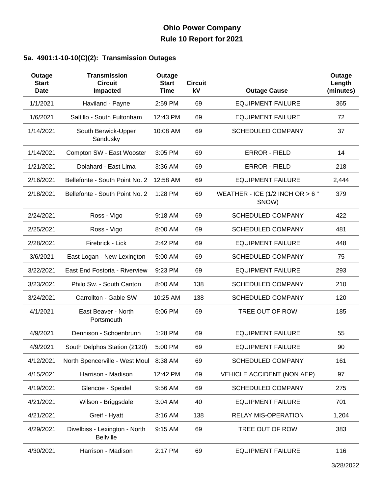### **5a. 4901:1-10-10(C)(2): Transmission Outages**

| Outage<br><b>Start</b><br><b>Date</b> | <b>Transmission</b><br><b>Circuit</b><br>Impacted | Outage<br><b>Start</b><br><b>Time</b> | <b>Circuit</b><br>kV | <b>Outage Cause</b>                         | Outage<br>Length<br>(minutes) |
|---------------------------------------|---------------------------------------------------|---------------------------------------|----------------------|---------------------------------------------|-------------------------------|
| 1/1/2021                              | Haviland - Payne                                  | 2:59 PM                               | 69                   | <b>EQUIPMENT FAILURE</b>                    | 365                           |
| 1/6/2021                              | Saltillo - South Fultonham                        | 12:43 PM                              | 69                   | <b>EQUIPMENT FAILURE</b>                    | 72                            |
| 1/14/2021                             | South Berwick-Upper<br>Sandusky                   | 10:08 AM                              | 69                   | <b>SCHEDULED COMPANY</b>                    | 37                            |
| 1/14/2021                             | Compton SW - East Wooster                         | 3:05 PM                               | 69                   | <b>ERROR - FIELD</b>                        | 14                            |
| 1/21/2021                             | Dolahard - East Lima                              | 3:36 AM                               | 69                   | <b>ERROR - FIELD</b>                        | 218                           |
| 2/16/2021                             | Bellefonte - South Point No. 2                    | 12:58 AM                              | 69                   | <b>EQUIPMENT FAILURE</b>                    | 2,444                         |
| 2/18/2021                             | Bellefonte - South Point No. 2                    | 1:28 PM                               | 69                   | WEATHER - ICE (1/2 INCH OR $> 6$ "<br>SNOW) | 379                           |
| 2/24/2021                             | Ross - Vigo                                       | 9:18 AM                               | 69                   | <b>SCHEDULED COMPANY</b>                    | 422                           |
| 2/25/2021                             | Ross - Vigo                                       | 8:00 AM                               | 69                   | <b>SCHEDULED COMPANY</b>                    | 481                           |
| 2/28/2021                             | Firebrick - Lick                                  | 2:42 PM                               | 69                   | <b>EQUIPMENT FAILURE</b>                    | 448                           |
| 3/6/2021                              | East Logan - New Lexington                        | 5:00 AM                               | 69                   | <b>SCHEDULED COMPANY</b>                    | 75                            |
| 3/22/2021                             | East End Fostoria - Riverview                     | 9:23 PM                               | 69                   | <b>EQUIPMENT FAILURE</b>                    | 293                           |
| 3/23/2021                             | Philo Sw. - South Canton                          | 8:00 AM                               | 138                  | <b>SCHEDULED COMPANY</b>                    | 210                           |
| 3/24/2021                             | Carrollton - Gable SW                             | 10:25 AM                              | 138                  | <b>SCHEDULED COMPANY</b>                    | 120                           |
| 4/1/2021                              | East Beaver - North<br>Portsmouth                 | 5:06 PM                               | 69                   | TREE OUT OF ROW                             | 185                           |
| 4/9/2021                              | Dennison - Schoenbrunn                            | 1:28 PM                               | 69                   | <b>EQUIPMENT FAILURE</b>                    | 55                            |
| 4/9/2021                              | South Delphos Station (2120)                      | 5:00 PM                               | 69                   | <b>EQUIPMENT FAILURE</b>                    | 90                            |
| 4/12/2021                             | North Spencerville - West Moul 8:38 AM            |                                       | 69                   | <b>SCHEDULED COMPANY</b>                    | 161                           |
| 4/15/2021                             | Harrison - Madison                                | 12:42 PM                              | 69                   | <b>VEHICLE ACCIDENT (NON AEP)</b>           | 97                            |
| 4/19/2021                             | Glencoe - Speidel                                 | 9:56 AM                               | 69                   | <b>SCHEDULED COMPANY</b>                    | 275                           |
| 4/21/2021                             | Wilson - Briggsdale                               | 3:04 AM                               | 40                   | <b>EQUIPMENT FAILURE</b>                    | 701                           |
| 4/21/2021                             | Greif - Hyatt                                     | 3:16 AM                               | 138                  | <b>RELAY MIS-OPERATION</b>                  | 1,204                         |
| 4/29/2021                             | Divelbiss - Lexington - North<br><b>Bellville</b> | 9:15 AM                               | 69                   | TREE OUT OF ROW                             | 383                           |
| 4/30/2021                             | Harrison - Madison                                | 2:17 PM                               | 69                   | <b>EQUIPMENT FAILURE</b>                    | 116                           |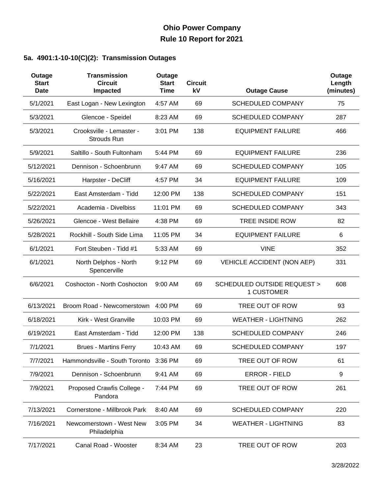### **5a. 4901:1-10-10(C)(2): Transmission Outages**

| Outage<br><b>Start</b><br><b>Date</b> | <b>Transmission</b><br><b>Circuit</b><br>Impacted | Outage<br><b>Start</b><br>Time | <b>Circuit</b><br>kV | <b>Outage Cause</b>                                 | Outage<br>Length<br>(minutes) |
|---------------------------------------|---------------------------------------------------|--------------------------------|----------------------|-----------------------------------------------------|-------------------------------|
| 5/1/2021                              | East Logan - New Lexington                        | 4:57 AM                        | 69                   | <b>SCHEDULED COMPANY</b>                            | 75                            |
| 5/3/2021                              | Glencoe - Speidel                                 | 8:23 AM                        | 69                   | <b>SCHEDULED COMPANY</b>                            | 287                           |
| 5/3/2021                              | Crooksville - Lemaster -<br>Strouds Run           | 3:01 PM                        | 138                  | <b>EQUIPMENT FAILURE</b>                            | 466                           |
| 5/9/2021                              | Saltillo - South Fultonham                        | 5:44 PM                        | 69                   | <b>EQUIPMENT FAILURE</b>                            | 236                           |
| 5/12/2021                             | Dennison - Schoenbrunn                            | 9:47 AM                        | 69                   | <b>SCHEDULED COMPANY</b>                            | 105                           |
| 5/16/2021                             | Harpster - DeCliff                                | 4:57 PM                        | 34                   | <b>EQUIPMENT FAILURE</b>                            | 109                           |
| 5/22/2021                             | East Amsterdam - Tidd                             | 12:00 PM                       | 138                  | <b>SCHEDULED COMPANY</b>                            | 151                           |
| 5/22/2021                             | Academia - Divelbiss                              | 11:01 PM                       | 69                   | <b>SCHEDULED COMPANY</b>                            | 343                           |
| 5/26/2021                             | Glencoe - West Bellaire                           | 4:38 PM                        | 69                   | TREE INSIDE ROW                                     | 82                            |
| 5/28/2021                             | Rockhill - South Side Lima                        | 11:05 PM                       | 34                   | <b>EQUIPMENT FAILURE</b>                            | 6                             |
| 6/1/2021                              | Fort Steuben - Tidd #1                            | 5:33 AM                        | 69                   | <b>VINE</b>                                         | 352                           |
| 6/1/2021                              | North Delphos - North<br>Spencerville             | 9:12 PM                        | 69                   | VEHICLE ACCIDENT (NON AEP)                          | 331                           |
| 6/6/2021                              | Coshocton - North Coshocton                       | 9:00 AM                        | 69                   | <b>SCHEDULED OUTSIDE REQUEST &gt;</b><br>1 CUSTOMER | 608                           |
| 6/13/2021                             | Broom Road - Newcomerstown                        | 4:00 PM                        | 69                   | TREE OUT OF ROW                                     | 93                            |
| 6/18/2021                             | Kirk - West Granville                             | 10:03 PM                       | 69                   | <b>WEATHER - LIGHTNING</b>                          | 262                           |
| 6/19/2021                             | East Amsterdam - Tidd                             | 12:00 PM                       | 138                  | <b>SCHEDULED COMPANY</b>                            | 246                           |
| 7/1/2021                              | <b>Brues - Martins Ferry</b>                      | 10:43 AM                       | 69                   | <b>SCHEDULED COMPANY</b>                            | 197                           |
| 7/7/2021                              | Hammondsville - South Toronto 3:36 PM             |                                | 69                   | TREE OUT OF ROW                                     | 61                            |
| 7/9/2021                              | Dennison - Schoenbrunn                            | 9:41 AM                        | 69                   | <b>ERROR - FIELD</b>                                | 9                             |
| 7/9/2021                              | Proposed Crawfis College -<br>Pandora             | 7:44 PM                        | 69                   | TREE OUT OF ROW                                     | 261                           |
| 7/13/2021                             | Cornerstone - Millbrook Park                      | 8:40 AM                        | 69                   | <b>SCHEDULED COMPANY</b>                            | 220                           |
| 7/16/2021                             | Newcomerstown - West New<br>Philadelphia          | 3:05 PM                        | 34                   | <b>WEATHER - LIGHTNING</b>                          | 83                            |
| 7/17/2021                             | Canal Road - Wooster                              | 8:34 AM                        | 23                   | TREE OUT OF ROW                                     | 203                           |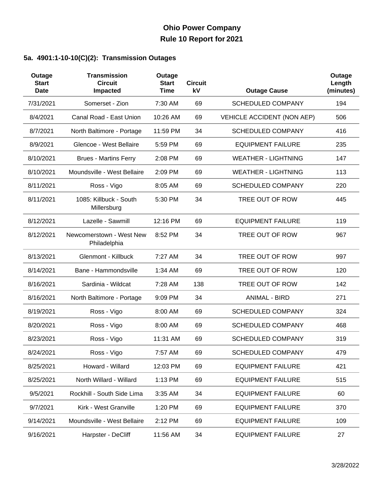### **5a. 4901:1-10-10(C)(2): Transmission Outages**

| Outage<br><b>Start</b><br><b>Date</b> | <b>Transmission</b><br><b>Circuit</b><br>Impacted | Outage<br><b>Start</b><br><b>Time</b> | <b>Circuit</b><br>kV | <b>Outage Cause</b>               | Outage<br>Length<br>(minutes) |
|---------------------------------------|---------------------------------------------------|---------------------------------------|----------------------|-----------------------------------|-------------------------------|
| 7/31/2021                             | Somerset - Zion                                   | 7:30 AM                               | 69                   | <b>SCHEDULED COMPANY</b>          | 194                           |
| 8/4/2021                              | Canal Road - East Union                           | 10:26 AM                              | 69                   | <b>VEHICLE ACCIDENT (NON AEP)</b> | 506                           |
| 8/7/2021                              | North Baltimore - Portage                         | 11:59 PM                              | 34                   | <b>SCHEDULED COMPANY</b>          | 416                           |
| 8/9/2021                              | Glencoe - West Bellaire                           | 5:59 PM                               | 69                   | <b>EQUIPMENT FAILURE</b>          | 235                           |
| 8/10/2021                             | <b>Brues - Martins Ferry</b>                      | 2:08 PM                               | 69                   | <b>WEATHER - LIGHTNING</b>        | 147                           |
| 8/10/2021                             | Moundsville - West Bellaire                       | 2:09 PM                               | 69                   | <b>WEATHER - LIGHTNING</b>        | 113                           |
| 8/11/2021                             | Ross - Vigo                                       | 8:05 AM                               | 69                   | <b>SCHEDULED COMPANY</b>          | 220                           |
| 8/11/2021                             | 1085: Killbuck - South<br>Millersburg             | 5:30 PM                               | 34                   | TREE OUT OF ROW                   | 445                           |
| 8/12/2021                             | Lazelle - Sawmill                                 | 12:16 PM                              | 69                   | <b>EQUIPMENT FAILURE</b>          | 119                           |
| 8/12/2021                             | Newcomerstown - West New<br>Philadelphia          | 8:52 PM                               | 34                   | TREE OUT OF ROW                   | 967                           |
| 8/13/2021                             | <b>Glenmont - Killbuck</b>                        | 7:27 AM                               | 34                   | TREE OUT OF ROW                   | 997                           |
| 8/14/2021                             | Bane - Hammondsville                              | 1:34 AM                               | 69                   | TREE OUT OF ROW                   | 120                           |
| 8/16/2021                             | Sardinia - Wildcat                                | 7:28 AM                               | 138                  | TREE OUT OF ROW                   | 142                           |
| 8/16/2021                             | North Baltimore - Portage                         | 9:09 PM                               | 34                   | <b>ANIMAL - BIRD</b>              | 271                           |
| 8/19/2021                             | Ross - Vigo                                       | 8:00 AM                               | 69                   | <b>SCHEDULED COMPANY</b>          | 324                           |
| 8/20/2021                             | Ross - Vigo                                       | 8:00 AM                               | 69                   | <b>SCHEDULED COMPANY</b>          | 468                           |
| 8/23/2021                             | Ross - Vigo                                       | 11:31 AM                              | 69                   | <b>SCHEDULED COMPANY</b>          | 319                           |
| 8/24/2021                             | Ross - Vigo                                       | 7:57 AM                               | 69                   | <b>SCHEDULED COMPANY</b>          | 479                           |
| 8/25/2021                             | Howard - Willard                                  | 12:03 PM                              | 69                   | <b>EQUIPMENT FAILURE</b>          | 421                           |
| 8/25/2021                             | North Willard - Willard                           | 1:13 PM                               | 69                   | <b>EQUIPMENT FAILURE</b>          | 515                           |
| 9/5/2021                              | Rockhill - South Side Lima                        | 3:35 AM                               | 34                   | <b>EQUIPMENT FAILURE</b>          | 60                            |
| 9/7/2021                              | Kirk - West Granville                             | 1:20 PM                               | 69                   | <b>EQUIPMENT FAILURE</b>          | 370                           |
| 9/14/2021                             | Moundsville - West Bellaire                       | 2:12 PM                               | 69                   | <b>EQUIPMENT FAILURE</b>          | 109                           |
| 9/16/2021                             | Harpster - DeCliff                                | 11:56 AM                              | 34                   | <b>EQUIPMENT FAILURE</b>          | 27                            |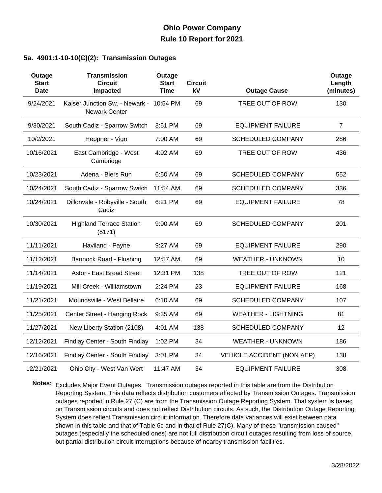#### **5a. 4901:1-10-10(C)(2): Transmission Outages**

| Outage<br><b>Start</b><br><b>Date</b> | <b>Transmission</b><br><b>Circuit</b><br>Impacted               | Outage<br><b>Start</b><br>Time | <b>Circuit</b><br>kV | <b>Outage Cause</b>               | Outage<br>Length<br>(minutes) |
|---------------------------------------|-----------------------------------------------------------------|--------------------------------|----------------------|-----------------------------------|-------------------------------|
| 9/24/2021                             | Kaiser Junction Sw. - Newark - 10:54 PM<br><b>Newark Center</b> |                                | 69                   | TREE OUT OF ROW                   | 130                           |
| 9/30/2021                             | South Cadiz - Sparrow Switch                                    | 3:51 PM                        | 69                   | <b>EQUIPMENT FAILURE</b>          | $\overline{7}$                |
| 10/2/2021                             | Heppner - Vigo                                                  | 7:00 AM                        | 69                   | <b>SCHEDULED COMPANY</b>          | 286                           |
| 10/16/2021                            | East Cambridge - West<br>Cambridge                              | 4:02 AM                        | 69                   | TREE OUT OF ROW                   | 436                           |
| 10/23/2021                            | Adena - Biers Run                                               | 6:50 AM                        | 69                   | <b>SCHEDULED COMPANY</b>          | 552                           |
| 10/24/2021                            | South Cadiz - Sparrow Switch                                    | 11:54 AM                       | 69                   | <b>SCHEDULED COMPANY</b>          | 336                           |
| 10/24/2021                            | Dillonvale - Robyville - South<br>Cadiz                         | 6:21 PM                        | 69                   | <b>EQUIPMENT FAILURE</b>          | 78                            |
| 10/30/2021                            | <b>Highland Terrace Station</b><br>(5171)                       | 9:00 AM                        | 69                   | <b>SCHEDULED COMPANY</b>          | 201                           |
| 11/11/2021                            | Haviland - Payne                                                | 9:27 AM                        | 69                   | <b>EQUIPMENT FAILURE</b>          | 290                           |
| 11/12/2021                            | Bannock Road - Flushing                                         | 12:57 AM                       | 69                   | <b>WEATHER - UNKNOWN</b>          | 10                            |
| 11/14/2021                            | Astor - East Broad Street                                       | 12:31 PM                       | 138                  | TREE OUT OF ROW                   | 121                           |
| 11/19/2021                            | Mill Creek - Williamstown                                       | 2:24 PM                        | 23                   | <b>EQUIPMENT FAILURE</b>          | 168                           |
| 11/21/2021                            | Moundsville - West Bellaire                                     | 6:10 AM                        | 69                   | <b>SCHEDULED COMPANY</b>          | 107                           |
| 11/25/2021                            | Center Street - Hanging Rock                                    | 9:35 AM                        | 69                   | <b>WEATHER - LIGHTNING</b>        | 81                            |
| 11/27/2021                            | New Liberty Station (2108)                                      | 4:01 AM                        | 138                  | <b>SCHEDULED COMPANY</b>          | 12                            |
| 12/12/2021                            | Findlay Center - South Findlay                                  | 1:02 PM                        | 34                   | <b>WEATHER - UNKNOWN</b>          | 186                           |
| 12/16/2021                            | Findlay Center - South Findlay                                  | 3:01 PM                        | 34                   | <b>VEHICLE ACCIDENT (NON AEP)</b> | 138                           |
| 12/21/2021                            | Ohio City - West Van Wert                                       | 11:47 AM                       | 34                   | <b>EQUIPMENT FAILURE</b>          | 308                           |

**Notes:** Excludes Major Event Outages. Transmission outages reported in this table are from the Distribution Reporting System. This data reflects distribution customers affected by Transmission Outages. Transmission outages reported in Rule 27 (C) are from the Transmission Outage Reporting System. That system is based on Transmission circuits and does not reflect Distribution circuits. As such, the Distribution Outage Reporting System does reflect Transmission circuit information. Therefore data variances will exist between data shown in this table and that of Table 6c and in that of Rule 27(C). Many of these "transmission caused" outages (especially the scheduled ones) are not full distribution circuit outages resulting from loss of source, but partial distribution circuit interruptions because of nearby transmission facilities.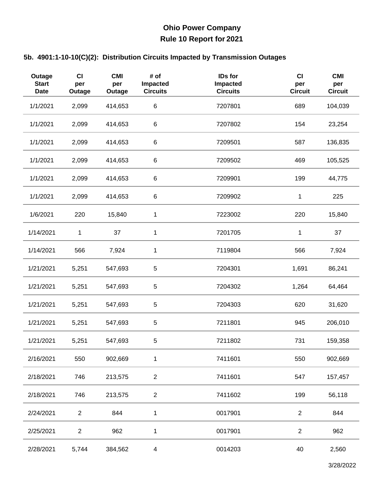| Outage<br><b>Start</b><br><b>Date</b> | CI<br>per<br>Outage | <b>CMI</b><br>per<br>Outage | # of<br>Impacted<br><b>Circuits</b> | IDs for<br>Impacted<br><b>Circuits</b> | $CI$<br>per<br><b>Circuit</b> | <b>CMI</b><br>per<br><b>Circuit</b> |
|---------------------------------------|---------------------|-----------------------------|-------------------------------------|----------------------------------------|-------------------------------|-------------------------------------|
| 1/1/2021                              | 2,099               | 414,653                     | 6                                   | 7207801                                | 689                           | 104,039                             |
| 1/1/2021                              | 2,099               | 414,653                     | 6                                   | 7207802                                | 154                           | 23,254                              |
| 1/1/2021                              | 2,099               | 414,653                     | 6                                   | 7209501                                | 587                           | 136,835                             |
| 1/1/2021                              | 2,099               | 414,653                     | 6                                   | 7209502                                | 469                           | 105,525                             |
| 1/1/2021                              | 2,099               | 414,653                     | 6                                   | 7209901                                | 199                           | 44,775                              |
| 1/1/2021                              | 2,099               | 414,653                     | 6                                   | 7209902                                | 1                             | 225                                 |
| 1/6/2021                              | 220                 | 15,840                      | 1                                   | 7223002                                | 220                           | 15,840                              |
| 1/14/2021                             | 1                   | 37                          | 1                                   | 7201705                                | 1                             | 37                                  |
| 1/14/2021                             | 566                 | 7,924                       | 1                                   | 7119804                                | 566                           | 7,924                               |
| 1/21/2021                             | 5,251               | 547,693                     | 5                                   | 7204301                                | 1,691                         | 86,241                              |
| 1/21/2021                             | 5,251               | 547,693                     | $\mathbf 5$                         | 7204302                                | 1,264                         | 64,464                              |
| 1/21/2021                             | 5,251               | 547,693                     | 5                                   | 7204303                                | 620                           | 31,620                              |
| 1/21/2021                             | 5,251               | 547,693                     | $\mathbf 5$                         | 7211801                                | 945                           | 206,010                             |
| 1/21/2021                             | 5,251               | 547,693                     | $\mathbf 5$                         | 7211802                                | 731                           | 159,358                             |
| 2/16/2021                             | 550                 | 902,669                     | 1                                   | 7411601                                | 550                           | 902,669                             |
| 2/18/2021                             | 746                 | 213,575                     | $\overline{2}$                      | 7411601                                | 547                           | 157,457                             |
| 2/18/2021                             | 746                 | 213,575                     | $\overline{c}$                      | 7411602                                | 199                           | 56,118                              |
| 2/24/2021                             | $\overline{c}$      | 844                         | 1                                   | 0017901                                | $\overline{2}$                | 844                                 |
| 2/25/2021                             | $\overline{c}$      | 962                         | 1                                   | 0017901                                | $\overline{2}$                | 962                                 |
| 2/28/2021                             | 5,744               | 384,562                     | 4                                   | 0014203                                | 40                            | 2,560                               |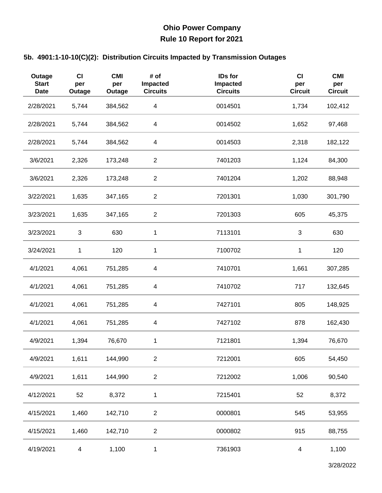| Outage<br><b>Start</b><br><b>Date</b> | <b>CI</b><br>per<br>Outage | <b>CMI</b><br>per<br>Outage | # of<br>Impacted<br><b>Circuits</b> | IDs for<br>Impacted<br><b>Circuits</b> | $CI$<br>per<br><b>Circuit</b> | <b>CMI</b><br>per<br><b>Circuit</b> |
|---------------------------------------|----------------------------|-----------------------------|-------------------------------------|----------------------------------------|-------------------------------|-------------------------------------|
| 2/28/2021                             | 5,744                      | 384,562                     | $\overline{\mathbf{4}}$             | 0014501                                | 1,734                         | 102,412                             |
| 2/28/2021                             | 5,744                      | 384,562                     | 4                                   | 0014502                                | 1,652                         | 97,468                              |
| 2/28/2021                             | 5,744                      | 384,562                     | $\overline{\mathbf{4}}$             | 0014503                                | 2,318                         | 182,122                             |
| 3/6/2021                              | 2,326                      | 173,248                     | $\overline{c}$                      | 7401203                                | 1,124                         | 84,300                              |
| 3/6/2021                              | 2,326                      | 173,248                     | $\overline{2}$                      | 7401204                                | 1,202                         | 88,948                              |
| 3/22/2021                             | 1,635                      | 347,165                     | $\overline{c}$                      | 7201301                                | 1,030                         | 301,790                             |
| 3/23/2021                             | 1,635                      | 347,165                     | $\overline{2}$                      | 7201303                                | 605                           | 45,375                              |
| 3/23/2021                             | 3                          | 630                         | 1                                   | 7113101                                | 3                             | 630                                 |
| 3/24/2021                             | 1                          | 120                         | 1                                   | 7100702                                | $\mathbf{1}$                  | 120                                 |
| 4/1/2021                              | 4,061                      | 751,285                     | $\overline{\mathbf{4}}$             | 7410701                                | 1,661                         | 307,285                             |
| 4/1/2021                              | 4,061                      | 751,285                     | $\overline{\mathbf{4}}$             | 7410702                                | 717                           | 132,645                             |
| 4/1/2021                              | 4,061                      | 751,285                     | $\overline{\mathcal{A}}$            | 7427101                                | 805                           | 148,925                             |
| 4/1/2021                              | 4,061                      | 751,285                     | 4                                   | 7427102                                | 878                           | 162,430                             |
| 4/9/2021                              | 1,394                      | 76,670                      | 1                                   | 7121801                                | 1,394                         | 76,670                              |
| 4/9/2021                              | 1,611                      | 144,990                     | $\sqrt{2}$                          | 7212001                                | 605                           | 54,450                              |
| 4/9/2021                              | 1,611                      | 144,990                     | $\overline{2}$                      | 7212002                                | 1,006                         | 90,540                              |
| 4/12/2021                             | 52                         | 8,372                       | 1                                   | 7215401                                | 52                            | 8,372                               |
| 4/15/2021                             | 1,460                      | 142,710                     | $\overline{c}$                      | 0000801                                | 545                           | 53,955                              |
| 4/15/2021                             | 1,460                      | 142,710                     | $\overline{c}$                      | 0000802                                | 915                           | 88,755                              |
| 4/19/2021                             | 4                          | 1,100                       | 1                                   | 7361903                                | 4                             | 1,100                               |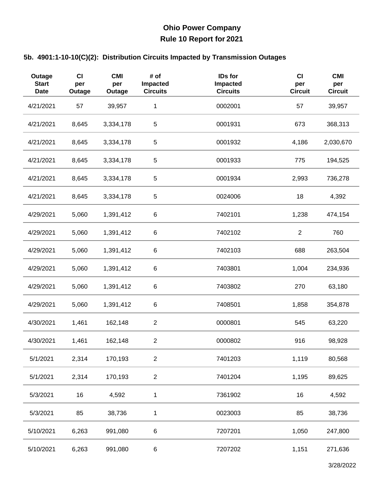| Outage<br><b>Start</b><br><b>Date</b> | <b>CI</b><br>per<br>Outage | <b>CMI</b><br>per<br>Outage | # of<br>Impacted<br><b>Circuits</b> | IDs for<br>Impacted<br><b>Circuits</b> | CI<br>per<br><b>Circuit</b> | <b>CMI</b><br>per<br><b>Circuit</b> |
|---------------------------------------|----------------------------|-----------------------------|-------------------------------------|----------------------------------------|-----------------------------|-------------------------------------|
| 4/21/2021                             | 57                         | 39,957                      | 1                                   | 0002001                                | 57                          | 39,957                              |
| 4/21/2021                             | 8,645                      | 3,334,178                   | $\mathbf 5$                         | 0001931                                | 673                         | 368,313                             |
| 4/21/2021                             | 8,645                      | 3,334,178                   | 5                                   | 0001932                                | 4,186                       | 2,030,670                           |
| 4/21/2021                             | 8,645                      | 3,334,178                   | 5                                   | 0001933                                | 775                         | 194,525                             |
| 4/21/2021                             | 8,645                      | 3,334,178                   | $\mathbf 5$                         | 0001934                                | 2,993                       | 736,278                             |
| 4/21/2021                             | 8,645                      | 3,334,178                   | $\mathbf 5$                         | 0024006                                | 18                          | 4,392                               |
| 4/29/2021                             | 5,060                      | 1,391,412                   | 6                                   | 7402101                                | 1,238                       | 474,154                             |
| 4/29/2021                             | 5,060                      | 1,391,412                   | 6                                   | 7402102                                | $\mathbf{2}$                | 760                                 |
| 4/29/2021                             | 5,060                      | 1,391,412                   | 6                                   | 7402103                                | 688                         | 263,504                             |
| 4/29/2021                             | 5,060                      | 1,391,412                   | 6                                   | 7403801                                | 1,004                       | 234,936                             |
| 4/29/2021                             | 5,060                      | 1,391,412                   | 6                                   | 7403802                                | 270                         | 63,180                              |
| 4/29/2021                             | 5,060                      | 1,391,412                   | 6                                   | 7408501                                | 1,858                       | 354,878                             |
| 4/30/2021                             | 1,461                      | 162,148                     | $\overline{c}$                      | 0000801                                | 545                         | 63,220                              |
| 4/30/2021                             | 1,461                      | 162,148                     | $\overline{2}$                      | 0000802                                | 916                         | 98,928                              |
| 5/1/2021                              | 2,314                      | 170,193                     | $\overline{2}$                      | 7401203                                | 1,119                       | 80,568                              |
| 5/1/2021                              | 2,314                      | 170,193                     | $\overline{c}$                      | 7401204                                | 1,195                       | 89,625                              |
| 5/3/2021                              | 16                         | 4,592                       | 1                                   | 7361902                                | 16                          | 4,592                               |
| 5/3/2021                              | 85                         | 38,736                      | 1                                   | 0023003                                | 85                          | 38,736                              |
| 5/10/2021                             | 6,263                      | 991,080                     | 6                                   | 7207201                                | 1,050                       | 247,800                             |
| 5/10/2021                             | 6,263                      | 991,080                     | 6                                   | 7207202                                | 1,151                       | 271,636                             |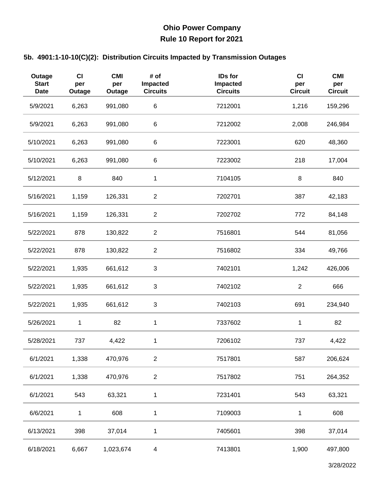| Outage<br><b>Start</b><br><b>Date</b> | CI<br>per<br>Outage | <b>CMI</b><br>per<br>Outage | # of<br>Impacted<br><b>Circuits</b> | IDs for<br>Impacted<br><b>Circuits</b> | CI<br>per<br><b>Circuit</b> | <b>CMI</b><br>per<br><b>Circuit</b> |
|---------------------------------------|---------------------|-----------------------------|-------------------------------------|----------------------------------------|-----------------------------|-------------------------------------|
| 5/9/2021                              | 6,263               | 991,080                     | $\,6$                               | 7212001                                | 1,216                       | 159,296                             |
| 5/9/2021                              | 6,263               | 991,080                     | 6                                   | 7212002                                | 2,008                       | 246,984                             |
| 5/10/2021                             | 6,263               | 991,080                     | 6                                   | 7223001                                | 620                         | 48,360                              |
| 5/10/2021                             | 6,263               | 991,080                     | 6                                   | 7223002                                | 218                         | 17,004                              |
| 5/12/2021                             | $\bf 8$             | 840                         | $\mathbf{1}$                        | 7104105                                | $\, 8$                      | 840                                 |
| 5/16/2021                             | 1,159               | 126,331                     | $\overline{c}$                      | 7202701                                | 387                         | 42,183                              |
| 5/16/2021                             | 1,159               | 126,331                     | $\overline{2}$                      | 7202702                                | 772                         | 84,148                              |
| 5/22/2021                             | 878                 | 130,822                     | $\overline{c}$                      | 7516801                                | 544                         | 81,056                              |
| 5/22/2021                             | 878                 | 130,822                     | $\overline{c}$                      | 7516802                                | 334                         | 49,766                              |
| 5/22/2021                             | 1,935               | 661,612                     | $\sqrt{3}$                          | 7402101                                | 1,242                       | 426,006                             |
| 5/22/2021                             | 1,935               | 661,612                     | 3                                   | 7402102                                | $\mathbf{2}$                | 666                                 |
| 5/22/2021                             | 1,935               | 661,612                     | 3                                   | 7402103                                | 691                         | 234,940                             |
| 5/26/2021                             | 1                   | 82                          | 1                                   | 7337602                                | $\mathbf{1}$                | 82                                  |
| 5/28/2021                             | 737                 | 4,422                       | 1                                   | 7206102                                | 737                         | 4,422                               |
| 6/1/2021                              | 1,338               | 470,976                     | $\overline{2}$                      | 7517801                                | 587                         | 206,624                             |
| 6/1/2021                              | 1,338               | 470,976                     | $\overline{c}$                      | 7517802                                | 751                         | 264,352                             |
| 6/1/2021                              | 543                 | 63,321                      | 1                                   | 7231401                                | 543                         | 63,321                              |
| 6/6/2021                              | $\mathbf{1}$        | 608                         | 1                                   | 7109003                                | 1                           | 608                                 |
| 6/13/2021                             | 398                 | 37,014                      | 1                                   | 7405601                                | 398                         | 37,014                              |
| 6/18/2021                             | 6,667               | 1,023,674                   | $\overline{4}$                      | 7413801                                | 1,900                       | 497,800                             |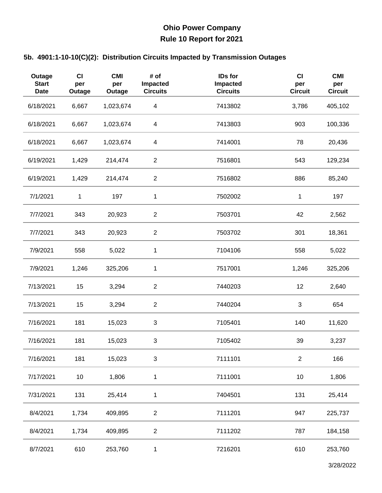| Outage<br><b>Start</b><br><b>Date</b> | CI<br>per<br>Outage | <b>CMI</b><br>per<br>Outage | # of<br>Impacted<br><b>Circuits</b> | IDs for<br>Impacted<br><b>Circuits</b> | $CI$<br>per<br><b>Circuit</b> | <b>CMI</b><br>per<br><b>Circuit</b> |
|---------------------------------------|---------------------|-----------------------------|-------------------------------------|----------------------------------------|-------------------------------|-------------------------------------|
| 6/18/2021                             | 6,667               | 1,023,674                   | $\overline{\mathbf{4}}$             | 7413802                                | 3,786                         | 405,102                             |
| 6/18/2021                             | 6,667               | 1,023,674                   | $\overline{\mathbf{4}}$             | 7413803                                | 903                           | 100,336                             |
| 6/18/2021                             | 6,667               | 1,023,674                   | $\overline{\mathbf{4}}$             | 7414001                                | 78                            | 20,436                              |
| 6/19/2021                             | 1,429               | 214,474                     | $\overline{2}$                      | 7516801                                | 543                           | 129,234                             |
| 6/19/2021                             | 1,429               | 214,474                     | $\overline{2}$                      | 7516802                                | 886                           | 85,240                              |
| 7/1/2021                              | 1                   | 197                         | 1                                   | 7502002                                | 1                             | 197                                 |
| 7/7/2021                              | 343                 | 20,923                      | $\overline{2}$                      | 7503701                                | 42                            | 2,562                               |
| 7/7/2021                              | 343                 | 20,923                      | $\overline{c}$                      | 7503702                                | 301                           | 18,361                              |
| 7/9/2021                              | 558                 | 5,022                       | 1                                   | 7104106                                | 558                           | 5,022                               |
| 7/9/2021                              | 1,246               | 325,206                     | $\mathbf 1$                         | 7517001                                | 1,246                         | 325,206                             |
| 7/13/2021                             | 15                  | 3,294                       | $\overline{c}$                      | 7440203                                | 12                            | 2,640                               |
| 7/13/2021                             | 15                  | 3,294                       | $\overline{2}$                      | 7440204                                | $\mathfrak{S}$                | 654                                 |
| 7/16/2021                             | 181                 | 15,023                      | 3                                   | 7105401                                | 140                           | 11,620                              |
| 7/16/2021                             | 181                 | 15,023                      | 3                                   | 7105402                                | 39                            | 3,237                               |
| 7/16/2021                             | 181                 | 15,023                      | $\sqrt{3}$                          | 7111101                                | $\overline{2}$                | 166                                 |
| 7/17/2021                             | 10                  | 1,806                       | 1                                   | 7111001                                | 10                            | 1,806                               |
| 7/31/2021                             | 131                 | 25,414                      | $\mathbf{1}$                        | 7404501                                | 131                           | 25,414                              |
| 8/4/2021                              | 1,734               | 409,895                     | $\overline{c}$                      | 7111201                                | 947                           | 225,737                             |
| 8/4/2021                              | 1,734               | 409,895                     | $\boldsymbol{2}$                    | 7111202                                | 787                           | 184,158                             |
| 8/7/2021                              | 610                 | 253,760                     | 1                                   | 7216201                                | 610                           | 253,760                             |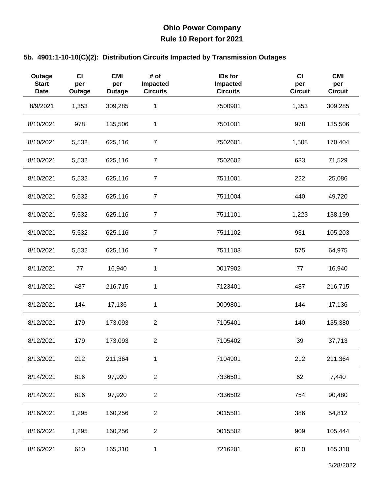| Outage<br><b>Start</b><br><b>Date</b> | CI<br>per<br>Outage | <b>CMI</b><br>per<br>Outage | # of<br>Impacted<br><b>Circuits</b> | IDs for<br>Impacted<br><b>Circuits</b> | $CI$<br>per<br><b>Circuit</b> | <b>CMI</b><br>per<br><b>Circuit</b> |
|---------------------------------------|---------------------|-----------------------------|-------------------------------------|----------------------------------------|-------------------------------|-------------------------------------|
| 8/9/2021                              | 1,353               | 309,285                     | 1                                   | 7500901                                | 1,353                         | 309,285                             |
| 8/10/2021                             | 978                 | 135,506                     | 1                                   | 7501001                                | 978                           | 135,506                             |
| 8/10/2021                             | 5,532               | 625,116                     | $\overline{7}$                      | 7502601                                | 1,508                         | 170,404                             |
| 8/10/2021                             | 5,532               | 625,116                     | $\overline{7}$                      | 7502602                                | 633                           | 71,529                              |
| 8/10/2021                             | 5,532               | 625,116                     | $\overline{7}$                      | 7511001                                | 222                           | 25,086                              |
| 8/10/2021                             | 5,532               | 625,116                     | $\overline{7}$                      | 7511004                                | 440                           | 49,720                              |
| 8/10/2021                             | 5,532               | 625,116                     | $\overline{7}$                      | 7511101                                | 1,223                         | 138,199                             |
| 8/10/2021                             | 5,532               | 625,116                     | $\overline{7}$                      | 7511102                                | 931                           | 105,203                             |
| 8/10/2021                             | 5,532               | 625,116                     | $\overline{7}$                      | 7511103                                | 575                           | 64,975                              |
| 8/11/2021                             | 77                  | 16,940                      | $\mathbf 1$                         | 0017902                                | 77                            | 16,940                              |
| 8/11/2021                             | 487                 | 216,715                     | 1                                   | 7123401                                | 487                           | 216,715                             |
| 8/12/2021                             | 144                 | 17,136                      | 1                                   | 0009801                                | 144                           | 17,136                              |
| 8/12/2021                             | 179                 | 173,093                     | $\overline{c}$                      | 7105401                                | 140                           | 135,380                             |
| 8/12/2021                             | 179                 | 173,093                     | $\overline{c}$                      | 7105402                                | 39                            | 37,713                              |
| 8/13/2021                             | 212                 | 211,364                     | 1                                   | 7104901                                | 212                           | 211,364                             |
| 8/14/2021                             | 816                 | 97,920                      | $\overline{2}$                      | 7336501                                | 62                            | 7,440                               |
| 8/14/2021                             | 816                 | 97,920                      | $\overline{2}$                      | 7336502                                | 754                           | 90,480                              |
| 8/16/2021                             | 1,295               | 160,256                     | $\overline{c}$                      | 0015501                                | 386                           | 54,812                              |
| 8/16/2021                             | 1,295               | 160,256                     | $\overline{2}$                      | 0015502                                | 909                           | 105,444                             |
| 8/16/2021                             | 610                 | 165,310                     | 1                                   | 7216201                                | 610                           | 165,310                             |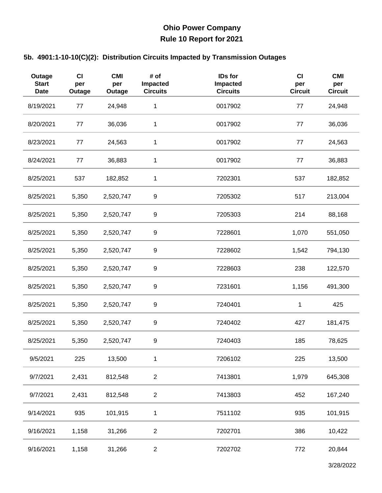| Outage<br><b>Start</b><br><b>Date</b> | <b>CI</b><br>per<br>Outage | <b>CMI</b><br>per<br>Outage | # of<br>Impacted<br><b>Circuits</b> | IDs for<br>Impacted<br><b>Circuits</b> | $CI$<br>per<br><b>Circuit</b> | <b>CMI</b><br>per<br><b>Circuit</b> |
|---------------------------------------|----------------------------|-----------------------------|-------------------------------------|----------------------------------------|-------------------------------|-------------------------------------|
| 8/19/2021                             | 77                         | 24,948                      | 1                                   | 0017902                                | 77                            | 24,948                              |
| 8/20/2021                             | 77                         | 36,036                      | 1                                   | 0017902                                | 77                            | 36,036                              |
| 8/23/2021                             | 77                         | 24,563                      | 1                                   | 0017902                                | 77                            | 24,563                              |
| 8/24/2021                             | 77                         | 36,883                      | 1                                   | 0017902                                | 77                            | 36,883                              |
| 8/25/2021                             | 537                        | 182,852                     | 1                                   | 7202301                                | 537                           | 182,852                             |
| 8/25/2021                             | 5,350                      | 2,520,747                   | 9                                   | 7205302                                | 517                           | 213,004                             |
| 8/25/2021                             | 5,350                      | 2,520,747                   | 9                                   | 7205303                                | 214                           | 88,168                              |
| 8/25/2021                             | 5,350                      | 2,520,747                   | 9                                   | 7228601                                | 1,070                         | 551,050                             |
| 8/25/2021                             | 5,350                      | 2,520,747                   | 9                                   | 7228602                                | 1,542                         | 794,130                             |
| 8/25/2021                             | 5,350                      | 2,520,747                   | $\boldsymbol{9}$                    | 7228603                                | 238                           | 122,570                             |
| 8/25/2021                             | 5,350                      | 2,520,747                   | 9                                   | 7231601                                | 1,156                         | 491,300                             |
| 8/25/2021                             | 5,350                      | 2,520,747                   | 9                                   | 7240401                                | 1                             | 425                                 |
| 8/25/2021                             | 5,350                      | 2,520,747                   | 9                                   | 7240402                                | 427                           | 181,475                             |
| 8/25/2021                             | 5,350                      | 2,520,747                   | 9                                   | 7240403                                | 185                           | 78,625                              |
| 9/5/2021                              | 225                        | 13,500                      | 1                                   | 7206102                                | 225                           | 13,500                              |
| 9/7/2021                              | 2,431                      | 812,548                     | $\overline{2}$                      | 7413801                                | 1,979                         | 645,308                             |
| 9/7/2021                              | 2,431                      | 812,548                     | $\overline{c}$                      | 7413803                                | 452                           | 167,240                             |
| 9/14/2021                             | 935                        | 101,915                     | 1                                   | 7511102                                | 935                           | 101,915                             |
| 9/16/2021                             | 1,158                      | 31,266                      | $\overline{c}$                      | 7202701                                | 386                           | 10,422                              |
| 9/16/2021                             | 1,158                      | 31,266                      | $\mathbf{2}$                        | 7202702                                | 772                           | 20,844                              |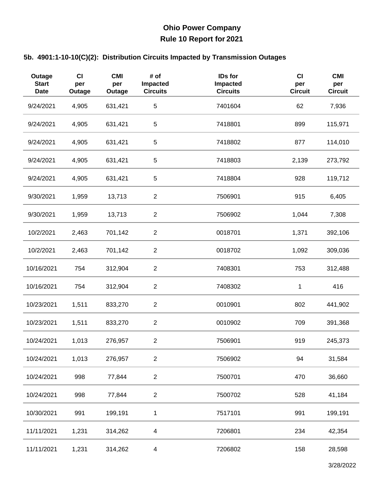| Outage<br><b>Start</b><br><b>Date</b> | CI<br>per<br>Outage | <b>CMI</b><br>per<br>Outage | # of<br>Impacted<br><b>Circuits</b> | <b>IDs for</b><br><b>Impacted</b><br><b>Circuits</b> | CI<br>per<br><b>Circuit</b> | <b>CMI</b><br>per<br><b>Circuit</b> |
|---------------------------------------|---------------------|-----------------------------|-------------------------------------|------------------------------------------------------|-----------------------------|-------------------------------------|
| 9/24/2021                             | 4,905               | 631,421                     | $\mathbf 5$                         | 7401604                                              | 62                          | 7,936                               |
| 9/24/2021                             | 4,905               | 631,421                     | 5                                   | 7418801                                              | 899                         | 115,971                             |
| 9/24/2021                             | 4,905               | 631,421                     | 5                                   | 7418802                                              | 877                         | 114,010                             |
| 9/24/2021                             | 4,905               | 631,421                     | $\mathbf 5$                         | 7418803                                              | 2,139                       | 273,792                             |
| 9/24/2021                             | 4,905               | 631,421                     | 5                                   | 7418804                                              | 928                         | 119,712                             |
| 9/30/2021                             | 1,959               | 13,713                      | $\overline{c}$                      | 7506901                                              | 915                         | 6,405                               |
| 9/30/2021                             | 1,959               | 13,713                      | $\overline{2}$                      | 7506902                                              | 1,044                       | 7,308                               |
| 10/2/2021                             | 2,463               | 701,142                     | $\boldsymbol{2}$                    | 0018701                                              | 1,371                       | 392,106                             |
| 10/2/2021                             | 2,463               | 701,142                     | $\sqrt{2}$                          | 0018702                                              | 1,092                       | 309,036                             |
| 10/16/2021                            | 754                 | 312,904                     | $\overline{2}$                      | 7408301                                              | 753                         | 312,488                             |
| 10/16/2021                            | 754                 | 312,904                     | $\sqrt{2}$                          | 7408302                                              | $\mathbf{1}$                | 416                                 |
| 10/23/2021                            | 1,511               | 833,270                     | $\overline{2}$                      | 0010901                                              | 802                         | 441,902                             |
| 10/23/2021                            | 1,511               | 833,270                     | $\overline{2}$                      | 0010902                                              | 709                         | 391,368                             |
| 10/24/2021                            | 1,013               | 276,957                     | $\overline{2}$                      | 7506901                                              | 919                         | 245,373                             |
| 10/24/2021                            | 1,013               | 276,957                     | $\sqrt{2}$                          | 7506902                                              | 94                          | 31,584                              |
| 10/24/2021                            | 998                 | 77,844                      | $\overline{2}$                      | 7500701                                              | 470                         | 36,660                              |
| 10/24/2021                            | 998                 | 77,844                      | $\overline{c}$                      | 7500702                                              | 528                         | 41,184                              |
| 10/30/2021                            | 991                 | 199,191                     | $\mathbf{1}$                        | 7517101                                              | 991                         | 199,191                             |
| 11/11/2021                            | 1,231               | 314,262                     | 4                                   | 7206801                                              | 234                         | 42,354                              |
| 11/11/2021                            | 1,231               | 314,262                     | 4                                   | 7206802                                              | 158                         | 28,598                              |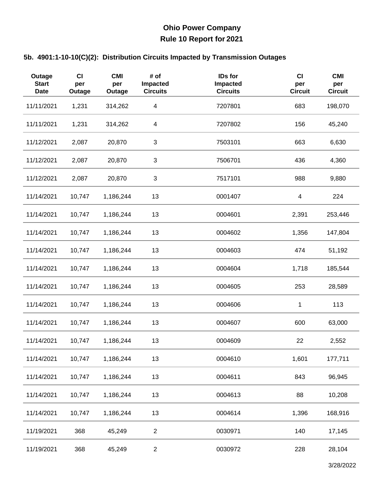| Outage<br><b>Start</b><br><b>Date</b> | CI<br>per<br>Outage | <b>CMI</b><br>per<br>Outage | # of<br>Impacted<br><b>Circuits</b> | IDs for<br>Impacted<br><b>Circuits</b> | C <sub>1</sub><br>per<br><b>Circuit</b> | <b>CMI</b><br>per<br><b>Circuit</b> |
|---------------------------------------|---------------------|-----------------------------|-------------------------------------|----------------------------------------|-----------------------------------------|-------------------------------------|
| 11/11/2021                            | 1,231               | 314,262                     | $\overline{\mathcal{A}}$            | 7207801                                | 683                                     | 198,070                             |
| 11/11/2021                            | 1,231               | 314,262                     | 4                                   | 7207802                                | 156                                     | 45,240                              |
| 11/12/2021                            | 2,087               | 20,870                      | 3                                   | 7503101                                | 663                                     | 6,630                               |
| 11/12/2021                            | 2,087               | 20,870                      | 3                                   | 7506701                                | 436                                     | 4,360                               |
| 11/12/2021                            | 2,087               | 20,870                      | $\ensuremath{\mathsf{3}}$           | 7517101                                | 988                                     | 9,880                               |
| 11/14/2021                            | 10,747              | 1,186,244                   | 13                                  | 0001407                                | $\overline{\mathbf{4}}$                 | 224                                 |
| 11/14/2021                            | 10,747              | 1,186,244                   | 13                                  | 0004601                                | 2,391                                   | 253,446                             |
| 11/14/2021                            | 10,747              | 1,186,244                   | 13                                  | 0004602                                | 1,356                                   | 147,804                             |
| 11/14/2021                            | 10,747              | 1,186,244                   | 13                                  | 0004603                                | 474                                     | 51,192                              |
| 11/14/2021                            | 10,747              | 1,186,244                   | 13                                  | 0004604                                | 1,718                                   | 185,544                             |
| 11/14/2021                            | 10,747              | 1,186,244                   | 13                                  | 0004605                                | 253                                     | 28,589                              |
| 11/14/2021                            | 10,747              | 1,186,244                   | 13                                  | 0004606                                | 1                                       | 113                                 |
| 11/14/2021                            | 10,747              | 1,186,244                   | 13                                  | 0004607                                | 600                                     | 63,000                              |
| 11/14/2021                            | 10,747              | 1,186,244                   | 13                                  | 0004609                                | 22                                      | 2,552                               |
| 11/14/2021                            | 10,747              | 1,186,244                   | 13                                  | 0004610                                | 1,601                                   | 177,711                             |
| 11/14/2021                            | 10,747              | 1,186,244                   | 13                                  | 0004611                                | 843                                     | 96,945                              |
| 11/14/2021                            | 10,747              | 1,186,244                   | 13                                  | 0004613                                | 88                                      | 10,208                              |
| 11/14/2021                            | 10,747              | 1,186,244                   | 13                                  | 0004614                                | 1,396                                   | 168,916                             |
| 11/19/2021                            | 368                 | 45,249                      | $\overline{c}$                      | 0030971                                | 140                                     | 17,145                              |
| 11/19/2021                            | 368                 | 45,249                      | $\overline{2}$                      | 0030972                                | 228                                     | 28,104                              |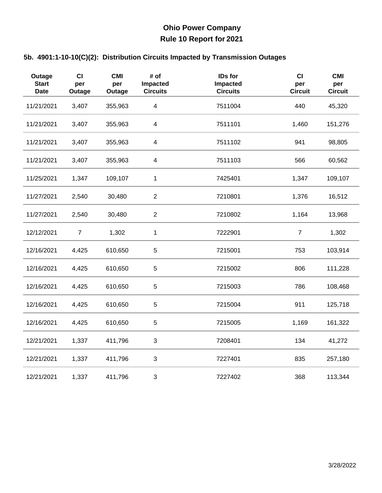| Outage<br><b>Start</b><br><b>Date</b> | <b>CI</b><br>per<br>Outage | <b>CMI</b><br>per<br>Outage | # of<br>Impacted<br><b>Circuits</b> | IDs for<br>Impacted<br><b>Circuits</b> | CI<br>per<br><b>Circuit</b> | <b>CMI</b><br>per<br><b>Circuit</b> |
|---------------------------------------|----------------------------|-----------------------------|-------------------------------------|----------------------------------------|-----------------------------|-------------------------------------|
| 11/21/2021                            | 3,407                      | 355,963                     | $\overline{\mathbf{4}}$             | 7511004                                | 440                         | 45,320                              |
| 11/21/2021                            | 3,407                      | 355,963                     | $\overline{4}$                      | 7511101                                | 1,460                       | 151,276                             |
| 11/21/2021                            | 3,407                      | 355,963                     | $\overline{\mathcal{A}}$            | 7511102                                | 941                         | 98,805                              |
| 11/21/2021                            | 3,407                      | 355,963                     | 4                                   | 7511103                                | 566                         | 60,562                              |
| 11/25/2021                            | 1,347                      | 109,107                     | $\mathbf{1}$                        | 7425401                                | 1,347                       | 109,107                             |
| 11/27/2021                            | 2,540                      | 30,480                      | $\overline{2}$                      | 7210801                                | 1,376                       | 16,512                              |
| 11/27/2021                            | 2,540                      | 30,480                      | $\overline{2}$                      | 7210802                                | 1,164                       | 13,968                              |
| 12/12/2021                            | $\overline{7}$             | 1,302                       | 1                                   | 7222901                                | $\overline{7}$              | 1,302                               |
| 12/16/2021                            | 4,425                      | 610,650                     | 5                                   | 7215001                                | 753                         | 103,914                             |
| 12/16/2021                            | 4,425                      | 610,650                     | 5                                   | 7215002                                | 806                         | 111,228                             |
| 12/16/2021                            | 4,425                      | 610,650                     | 5                                   | 7215003                                | 786                         | 108,468                             |
| 12/16/2021                            | 4,425                      | 610,650                     | 5                                   | 7215004                                | 911                         | 125,718                             |
| 12/16/2021                            | 4,425                      | 610,650                     | 5                                   | 7215005                                | 1,169                       | 161,322                             |
| 12/21/2021                            | 1,337                      | 411,796                     | 3                                   | 7208401                                | 134                         | 41,272                              |
| 12/21/2021                            | 1,337                      | 411,796                     | $\ensuremath{\mathsf{3}}$           | 7227401                                | 835                         | 257,180                             |
| 12/21/2021                            | 1,337                      | 411,796                     | 3                                   | 7227402                                | 368                         | 113,344                             |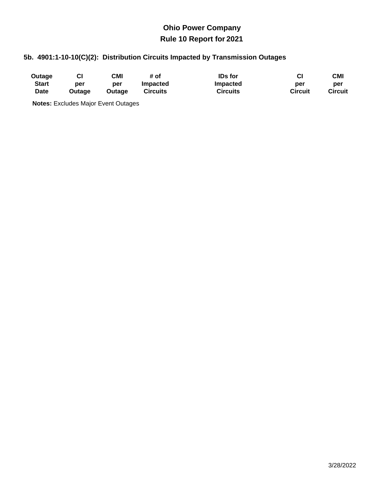### **5b. 4901:1-10-10(C)(2): Distribution Circuits Impacted by Transmission Outages**

| Outage       |        | CMI           | # of            | <b>IDs</b> for  | СI             | CMI            |
|--------------|--------|---------------|-----------------|-----------------|----------------|----------------|
| <b>Start</b> | per    | per           | <b>Impacted</b> | Impacted        | per            | per            |
| Date         | Outage | <b>Outage</b> | <b>Circuits</b> | <b>Circuits</b> | <b>Circuit</b> | <b>Circuit</b> |

**Notes:** Excludes Major Event Outages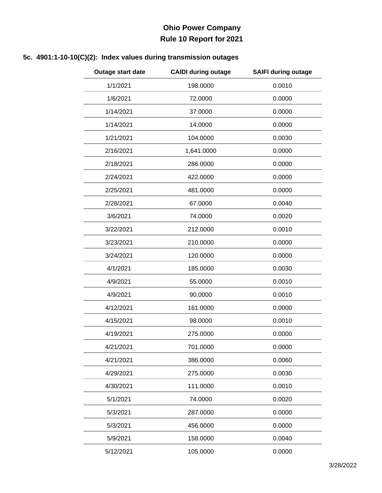### **5c. 4901:1-10-10(C)(2): Index values during transmission outages**

| Outage start date | <b>CAIDI during outage</b> | <b>SAIFI during outage</b> |
|-------------------|----------------------------|----------------------------|
| 1/1/2021          | 198.0000                   | 0.0010                     |
| 1/6/2021          | 72.0000                    | 0.0000                     |
| 1/14/2021         | 37.0000                    | 0.0000                     |
| 1/14/2021         | 14.0000                    | 0.0000                     |
| 1/21/2021         | 104.0000                   | 0.0030                     |
| 2/16/2021         | 1,641.0000                 | 0.0000                     |
| 2/18/2021         | 286.0000                   | 0.0000                     |
| 2/24/2021         | 422.0000                   | 0.0000                     |
| 2/25/2021         | 481.0000                   | 0.0000                     |
| 2/28/2021         | 67.0000                    | 0.0040                     |
| 3/6/2021          | 74.0000                    | 0.0020                     |
| 3/22/2021         | 212.0000                   | 0.0010                     |
| 3/23/2021         | 210.0000                   | 0.0000                     |
| 3/24/2021         | 120.0000                   | 0.0000                     |
| 4/1/2021          | 185.0000                   | 0.0030                     |
| 4/9/2021          | 55.0000                    | 0.0010                     |
| 4/9/2021          | 90.0000                    | 0.0010                     |
| 4/12/2021         | 161.0000                   | 0.0000                     |
| 4/15/2021         | 98.0000                    | 0.0010                     |
| 4/19/2021         | 275.0000                   | 0.0000                     |
| 4/21/2021         | 701.0000                   | 0.0000                     |
| 4/21/2021         | 386.0000                   | 0.0060                     |
| 4/29/2021         | 275.0000                   | 0.0030                     |
| 4/30/2021         | 111.0000                   | 0.0010                     |
| 5/1/2021          | 74.0000                    | 0.0020                     |
| 5/3/2021          | 287.0000                   | 0.0000                     |
| 5/3/2021          | 456.0000                   | 0.0000                     |
| 5/9/2021          | 158.0000                   | 0.0040                     |
| 5/12/2021         | 105.0000                   | 0.0000                     |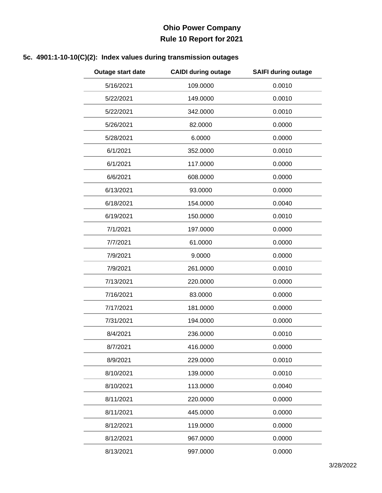### **5c. 4901:1-10-10(C)(2): Index values during transmission outages**

| Outage start date | <b>CAIDI during outage</b> | <b>SAIFI during outage</b> |
|-------------------|----------------------------|----------------------------|
| 5/16/2021         | 109.0000                   | 0.0010                     |
| 5/22/2021         | 149.0000                   | 0.0010                     |
| 5/22/2021         | 342.0000                   | 0.0010                     |
| 5/26/2021         | 82.0000                    | 0.0000                     |
| 5/28/2021         | 6.0000                     | 0.0000                     |
| 6/1/2021          | 352.0000                   | 0.0010                     |
| 6/1/2021          | 117.0000                   | 0.0000                     |
| 6/6/2021          | 608.0000                   | 0.0000                     |
| 6/13/2021         | 93.0000                    | 0.0000                     |
| 6/18/2021         | 154.0000                   | 0.0040                     |
| 6/19/2021         | 150.0000                   | 0.0010                     |
| 7/1/2021          | 197.0000                   | 0.0000                     |
| 7/7/2021          | 61.0000                    | 0.0000                     |
| 7/9/2021          | 9.0000                     | 0.0000                     |
| 7/9/2021          | 261.0000                   | 0.0010                     |
| 7/13/2021         | 220.0000                   | 0.0000                     |
| 7/16/2021         | 83.0000                    | 0.0000                     |
| 7/17/2021         | 181.0000                   | 0.0000                     |
| 7/31/2021         | 194.0000                   | 0.0000                     |
| 8/4/2021          | 236.0000                   | 0.0010                     |
| 8/7/2021          | 416.0000                   | 0.0000                     |
| 8/9/2021          | 229.0000                   | 0.0010                     |
| 8/10/2021         | 139.0000                   | 0.0010                     |
| 8/10/2021         | 113.0000                   | 0.0040                     |
| 8/11/2021         | 220.0000                   | 0.0000                     |
| 8/11/2021         | 445.0000                   | 0.0000                     |
| 8/12/2021         | 119.0000                   | 0.0000                     |
| 8/12/2021         | 967.0000                   | 0.0000                     |
| 8/13/2021         | 997.0000                   | 0.0000                     |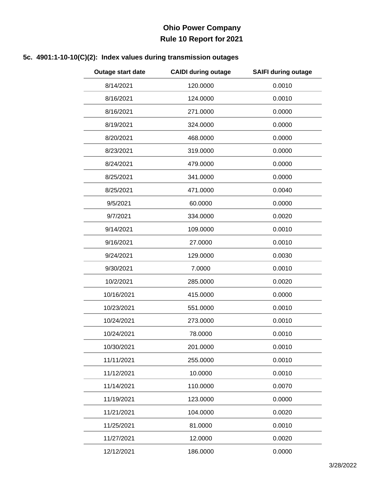### **5c. 4901:1-10-10(C)(2): Index values during transmission outages**

| Outage start date | <b>CAIDI during outage</b> | <b>SAIFI during outage</b> |
|-------------------|----------------------------|----------------------------|
| 8/14/2021         | 120.0000                   | 0.0010                     |
| 8/16/2021         | 124.0000                   | 0.0010                     |
| 8/16/2021         | 271.0000                   | 0.0000                     |
| 8/19/2021         | 324.0000                   | 0.0000                     |
| 8/20/2021         | 468.0000                   | 0.0000                     |
| 8/23/2021         | 319.0000                   | 0.0000                     |
| 8/24/2021         | 479.0000                   | 0.0000                     |
| 8/25/2021         | 341.0000                   | 0.0000                     |
| 8/25/2021         | 471.0000                   | 0.0040                     |
| 9/5/2021          | 60.0000                    | 0.0000                     |
| 9/7/2021          | 334.0000                   | 0.0020                     |
| 9/14/2021         | 109.0000                   | 0.0010                     |
| 9/16/2021         | 27.0000                    | 0.0010                     |
| 9/24/2021         | 129.0000                   | 0.0030                     |
| 9/30/2021         | 7.0000                     | 0.0010                     |
| 10/2/2021         | 285.0000                   | 0.0020                     |
| 10/16/2021        | 415.0000                   | 0.0000                     |
| 10/23/2021        | 551.0000                   | 0.0010                     |
| 10/24/2021        | 273.0000                   | 0.0010                     |
| 10/24/2021        | 78.0000                    | 0.0010                     |
| 10/30/2021        | 201.0000                   | 0.0010                     |
| 11/11/2021        | 255.0000                   | 0.0010                     |
| 11/12/2021        | 10.0000                    | 0.0010                     |
| 11/14/2021        | 110.0000                   | 0.0070                     |
| 11/19/2021        | 123.0000                   | 0.0000                     |
| 11/21/2021        | 104.0000                   | 0.0020                     |
| 11/25/2021        | 81.0000                    | 0.0010                     |
| 11/27/2021        | 12.0000                    | 0.0020                     |
| 12/12/2021        | 186.0000                   | 0.0000                     |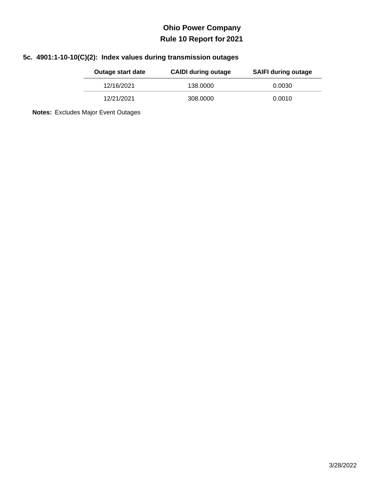### **5c. 4901:1-10-10(C)(2): Index values during transmission outages**

| Outage start date | <b>CAIDI during outage</b> | <b>SAIFI during outage</b> |
|-------------------|----------------------------|----------------------------|
| 12/16/2021        | 138.0000                   | 0.0030                     |
| 12/21/2021        | 308.0000                   | 0.0010                     |

**Notes:** Excludes Major Event Outages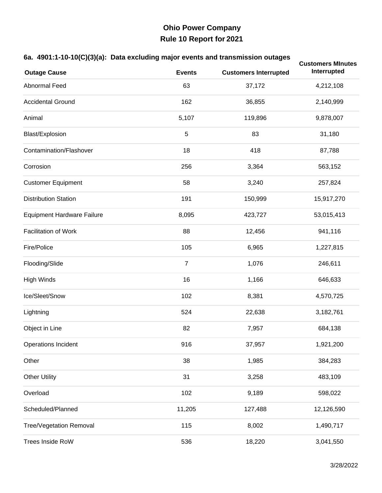#### **6a. 4901:1-10-10(C)(3)(a): Data excluding major events and transmission outages**

| <b>Outage Cause</b>               | <b>Events</b>  | <b>Customers Interrupted</b> | <b>Customers MInutes</b><br>Interrupted |
|-----------------------------------|----------------|------------------------------|-----------------------------------------|
| Abnormal Feed                     | 63             | 37,172                       | 4,212,108                               |
| <b>Accidental Ground</b>          | 162            | 36,855                       | 2,140,999                               |
| Animal                            | 5,107          | 119,896                      | 9,878,007                               |
| Blast/Explosion                   | 5              | 83                           | 31,180                                  |
| Contamination/Flashover           | 18             | 418                          | 87,788                                  |
| Corrosion                         | 256            | 3,364                        | 563,152                                 |
| <b>Customer Equipment</b>         | 58             | 3,240                        | 257,824                                 |
| <b>Distribution Station</b>       | 191            | 150,999                      | 15,917,270                              |
| <b>Equipment Hardware Failure</b> | 8,095          | 423,727                      | 53,015,413                              |
| <b>Facilitation of Work</b>       | 88             | 12,456                       | 941,116                                 |
| Fire/Police                       | 105            | 6,965                        | 1,227,815                               |
| Flooding/Slide                    | $\overline{7}$ | 1,076                        | 246,611                                 |
| <b>High Winds</b>                 | 16             | 1,166                        | 646,633                                 |
| Ice/Sleet/Snow                    | 102            | 8,381                        | 4,570,725                               |
| Lightning                         | 524            | 22,638                       | 3,182,761                               |
| Object in Line                    | 82             | 7,957                        | 684,138                                 |
| <b>Operations Incident</b>        | 916            | 37,957                       | 1,921,200                               |
| Other                             | 38             | 1,985                        | 384,283                                 |
| <b>Other Utility</b>              | 31             | 3,258                        | 483,109                                 |
| Overload                          | 102            | 9,189                        | 598,022                                 |
| Scheduled/Planned                 | 11,205         | 127,488                      | 12,126,590                              |
| <b>Tree/Vegetation Removal</b>    | 115            | 8,002                        | 1,490,717                               |
| <b>Trees Inside RoW</b>           | 536            | 18,220                       | 3,041,550                               |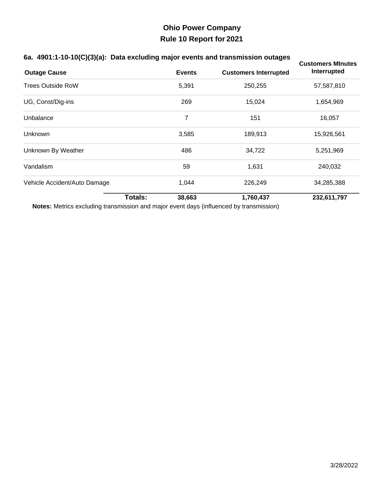#### **6a. 4901:1-10-10(C)(3)(a): Data excluding major events and transmission outages**

| ,,,,,                        |                |               | ັ                            | <b>Customers Minutes</b> |
|------------------------------|----------------|---------------|------------------------------|--------------------------|
| <b>Outage Cause</b>          |                | <b>Events</b> | <b>Customers Interrupted</b> | Interrupted              |
| <b>Trees Outside RoW</b>     |                | 5,391         | 250,255                      | 57,587,810               |
| UG, Const/Dig-ins            |                | 269           | 15,024                       | 1,654,969                |
| Unbalance                    |                | 7             | 151                          | 16,057                   |
| Unknown                      |                | 3,585         | 189,913                      | 15,926,561               |
| Unknown By Weather           |                | 486           | 34,722                       | 5,251,969                |
| Vandalism                    |                | 59            | 1,631                        | 240,032                  |
| Vehicle Accident/Auto Damage |                | 1,044         | 226,249                      | 34,285,388               |
|                              | <b>Totals:</b> | 38,663        | 1,760,437                    | 232,611,797              |

**Notes:** Metrics excluding transmission and major event days (influenced by transmission)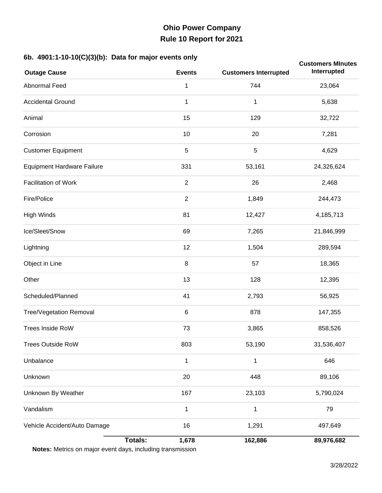#### **6b. 4901:1-10-10(C)(3)(b): Data for major events only**

| $\mathbf{F} = \begin{pmatrix} 1 \\ 2 \end{pmatrix}$<br><b>Outage Cause</b>   | - - - - - -<br><b>Events</b> | <b>Customers Interrupted</b> | <b>Customers MInutes</b><br>Interrupted |
|------------------------------------------------------------------------------|------------------------------|------------------------------|-----------------------------------------|
| Abnormal Feed                                                                | 1                            | 744                          | 23,064                                  |
| <b>Accidental Ground</b>                                                     | 1                            | $\mathbf 1$                  | 5,638                                   |
| Animal                                                                       | 15                           | 129                          | 32,722                                  |
| Corrosion                                                                    | 10                           | 20                           | 7,281                                   |
| <b>Customer Equipment</b>                                                    | $\sqrt{5}$                   | $\overline{5}$               | 4,629                                   |
| <b>Equipment Hardware Failure</b>                                            | 331                          | 53,161                       | 24,326,624                              |
| <b>Facilitation of Work</b>                                                  | $\overline{2}$               | 26                           | 2,468                                   |
| Fire/Police                                                                  | $\sqrt{2}$                   | 1,849                        | 244,473                                 |
| <b>High Winds</b>                                                            | 81                           | 12,427                       | 4,185,713                               |
| Ice/Sleet/Snow                                                               | 69                           | 7,265                        | 21,846,999                              |
| Lightning                                                                    | 12                           | 1,504                        | 289,594                                 |
| Object in Line                                                               | 8                            | 57                           | 18,365                                  |
| Other                                                                        | 13                           | 128                          | 12,395                                  |
| Scheduled/Planned                                                            | 41                           | 2,793                        | 56,925                                  |
| Tree/Vegetation Removal                                                      | $\,6$                        | 878                          | 147,355                                 |
| Trees Inside RoW                                                             | 73                           | 3,865                        | 858,526                                 |
| <b>Trees Outside RoW</b>                                                     | 803                          | 53,190                       | 31,536,407                              |
| Unbalance                                                                    | 1                            | 1                            | 646                                     |
| Unknown                                                                      | 20                           | 448                          | 89,106                                  |
| Unknown By Weather                                                           | 167                          | 23,103                       | 5,790,024                               |
| Vandalism                                                                    | $\mathbf 1$                  | $\mathbf 1$                  | 79                                      |
| Vehicle Accident/Auto Damage                                                 | 16                           | 1,291                        | 497,649                                 |
| <b>Totals:</b><br>Notes: Metrics on major event days, including transmission | 1,678                        | 162,886                      | 89,976,682                              |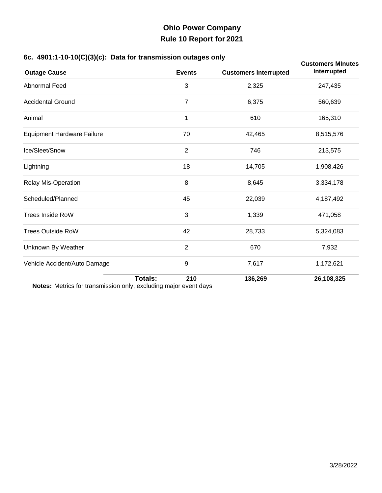#### **6c. 4901:1-10-10(C)(3)(c): Data for transmission outages only**

| ,, ,, ,                                                                                         |                |                |                              | <b>Customers Minutes</b> |
|-------------------------------------------------------------------------------------------------|----------------|----------------|------------------------------|--------------------------|
| <b>Outage Cause</b>                                                                             |                | <b>Events</b>  | <b>Customers Interrupted</b> | Interrupted              |
| Abnormal Feed                                                                                   |                | 3              | 2,325                        | 247,435                  |
| <b>Accidental Ground</b>                                                                        |                | 7              | 6,375                        | 560,639                  |
| Animal                                                                                          |                | 1              | 610                          | 165,310                  |
| <b>Equipment Hardware Failure</b>                                                               |                | 70             | 42,465                       | 8,515,576                |
| Ice/Sleet/Snow                                                                                  |                | $\overline{2}$ | 746                          | 213,575                  |
| Lightning                                                                                       |                | 18             | 14,705                       | 1,908,426                |
| Relay Mis-Operation                                                                             |                | 8              | 8,645                        | 3,334,178                |
| Scheduled/Planned                                                                               |                | 45             | 22,039                       | 4,187,492                |
| <b>Trees Inside RoW</b>                                                                         |                | 3              | 1,339                        | 471,058                  |
| <b>Trees Outside RoW</b>                                                                        |                | 42             | 28,733                       | 5,324,083                |
| Unknown By Weather                                                                              |                | $\overline{2}$ | 670                          | 7,932                    |
| Vehicle Accident/Auto Damage<br>Netcou Metrice for transmission only evoluting moior event doug |                | 9              | 7,617                        | 1,172,621                |
|                                                                                                 | <b>Totals:</b> | 210            | 136,269                      | 26,108,325               |

**Notes:** Metrics for transmission only, excluding major event days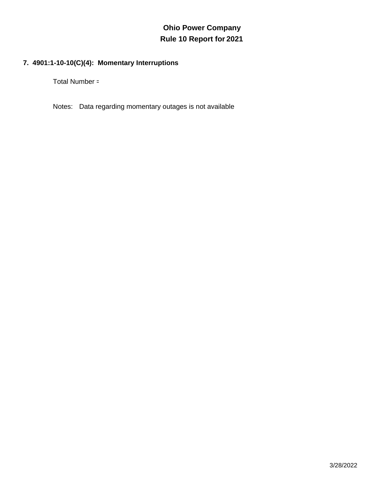### **7. 4901:1-10-10(C)(4): Momentary Interruptions**

Total Number =

Notes: Data regarding momentary outages is not available